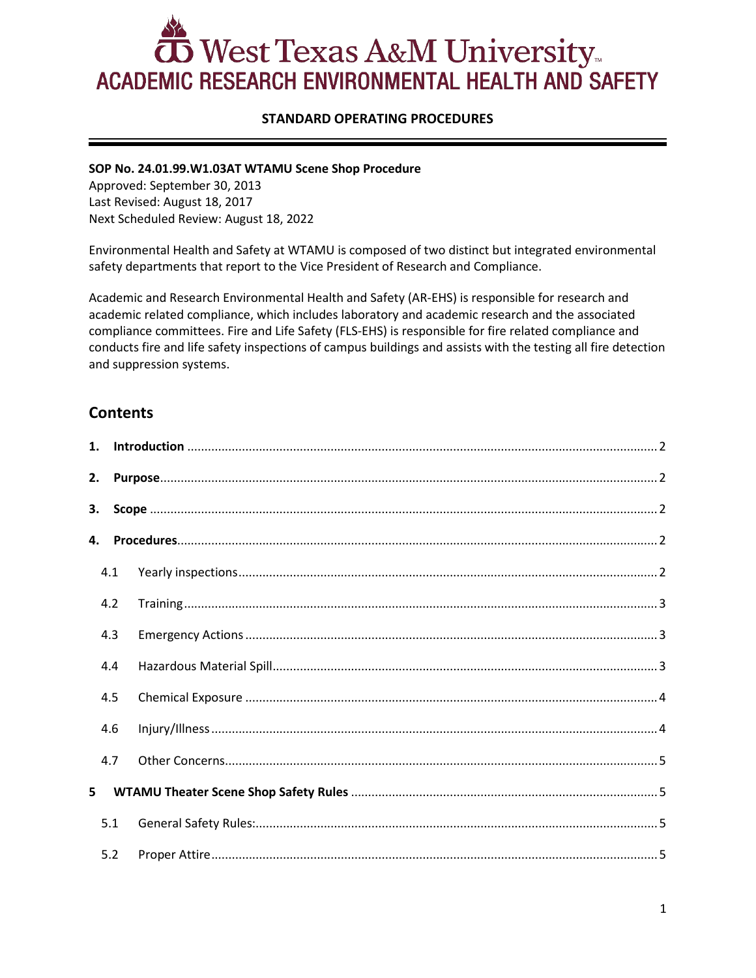# $\mathbf{\bar{D}}$  West Texas A&M University... **ACADEMIC RESEARCH ENVIRONMENTAL HEALTH AND SAFETY**

# **STANDARD OPERATING PROCEDURES**

#### **SOP No. 24.01.99.W1.03AT WTAMU Scene Shop Procedure**

Approved: September 30, 2013 Last Revised: August 18, 2017 Next Scheduled Review: August 18, 2022

Environmental Health and Safety at WTAMU is composed of two distinct but integrated environmental safety departments that report to the Vice President of Research and Compliance.

Academic and Research Environmental Health and Safety (AR-EHS) is responsible for research and academic related compliance, which includes laboratory and academic research and the associated compliance committees. Fire and Life Safety (FLS-EHS) is responsible for fire related compliance and conducts fire and life safety inspections of campus buildings and assists with the testing all fire detection and suppression systems.

# **Contents**

| 2. |     |                                                                                                                                                                                                                                                                                                                                                                                                                               |
|----|-----|-------------------------------------------------------------------------------------------------------------------------------------------------------------------------------------------------------------------------------------------------------------------------------------------------------------------------------------------------------------------------------------------------------------------------------|
| 3. |     |                                                                                                                                                                                                                                                                                                                                                                                                                               |
| 4. |     |                                                                                                                                                                                                                                                                                                                                                                                                                               |
|    | 4.1 |                                                                                                                                                                                                                                                                                                                                                                                                                               |
|    | 4.2 | $\begin{minipage}[c]{0.5\textwidth} \centering \begin{tabular}{ c c c c c } \hline \textbf{Training} & \textbf{3} & \textbf{4} & \textbf{5} & \textbf{6} & \textbf{7} & \textbf{8} & \textbf{9} & \textbf{10} & \textbf{10} & \textbf{10} & \textbf{10} & \textbf{10} & \textbf{10} & \textbf{10} & \textbf{10} & \textbf{10} & \textbf{10} & \textbf{10} & \textbf{10} & \textbf{10} & \textbf{10} & \textbf{10} & \textbf{$ |
|    | 4.3 |                                                                                                                                                                                                                                                                                                                                                                                                                               |
|    | 4.4 |                                                                                                                                                                                                                                                                                                                                                                                                                               |
|    | 4.5 |                                                                                                                                                                                                                                                                                                                                                                                                                               |
|    | 4.6 |                                                                                                                                                                                                                                                                                                                                                                                                                               |
|    | 4.7 |                                                                                                                                                                                                                                                                                                                                                                                                                               |
| 5  |     |                                                                                                                                                                                                                                                                                                                                                                                                                               |
|    | 5.1 |                                                                                                                                                                                                                                                                                                                                                                                                                               |
|    | 5.2 |                                                                                                                                                                                                                                                                                                                                                                                                                               |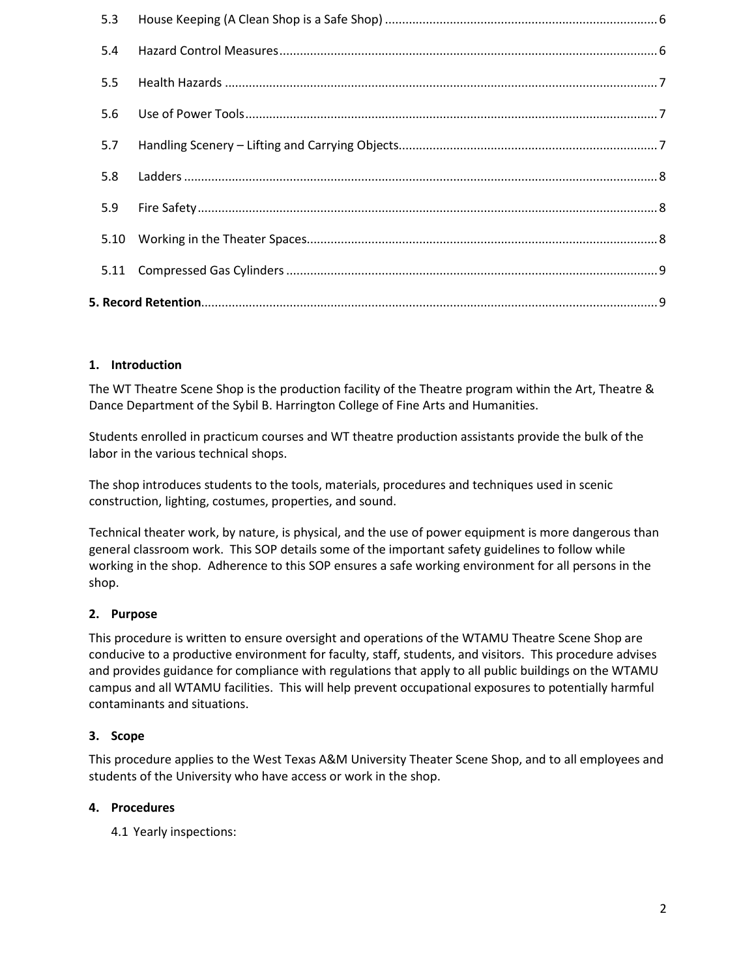#### <span id="page-1-0"></span>**1. Introduction**

The WT Theatre Scene Shop is the production facility of the Theatre program within the Art, Theatre & Dance Department of the Sybil B. Harrington College of Fine Arts and Humanities.

Students enrolled in practicum courses and WT theatre production assistants provide the bulk of the labor in the various technical shops.

The shop introduces students to the tools, materials, procedures and techniques used in scenic construction, lighting, costumes, properties, and sound.

Technical theater work, by nature, is physical, and the use of power equipment is more dangerous than general classroom work. This SOP details some of the important safety guidelines to follow while working in the shop. Adherence to this SOP ensures a safe working environment for all persons in the shop.

# <span id="page-1-1"></span>**2. Purpose**

This procedure is written to ensure oversight and operations of the WTAMU Theatre Scene Shop are conducive to a productive environment for faculty, staff, students, and visitors. This procedure advises and provides guidance for compliance with regulations that apply to all public buildings on the WTAMU campus and all WTAMU facilities. This will help prevent occupational exposures to potentially harmful contaminants and situations.

#### <span id="page-1-2"></span>**3. Scope**

This procedure applies to the West Texas A&M University Theater Scene Shop, and to all employees and students of the University who have access or work in the shop.

#### <span id="page-1-4"></span><span id="page-1-3"></span>**4. Procedures**

4.1 Yearly inspections: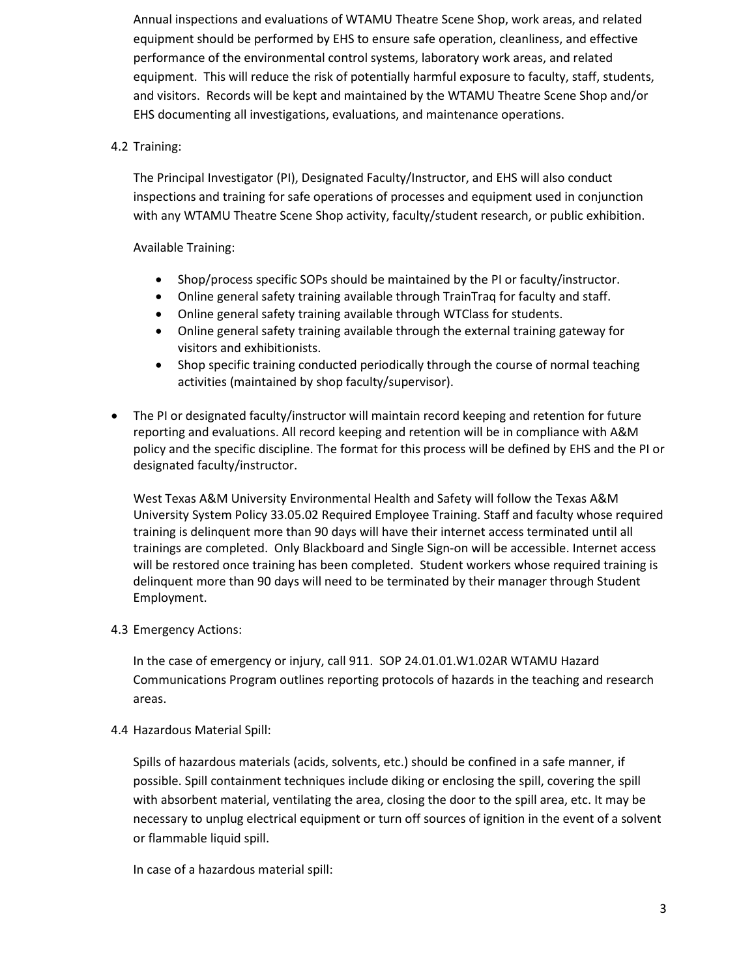Annual inspections and evaluations of WTAMU Theatre Scene Shop, work areas, and related equipment should be performed by EHS to ensure safe operation, cleanliness, and effective performance of the environmental control systems, laboratory work areas, and related equipment. This will reduce the risk of potentially harmful exposure to faculty, staff, students, and visitors. Records will be kept and maintained by the WTAMU Theatre Scene Shop and/or EHS documenting all investigations, evaluations, and maintenance operations.

# <span id="page-2-0"></span>4.2 Training:

The Principal Investigator (PI), Designated Faculty/Instructor, and EHS will also conduct inspections and training for safe operations of processes and equipment used in conjunction with any WTAMU Theatre Scene Shop activity, faculty/student research, or public exhibition.

#### Available Training:

- Shop/process specific SOPs should be maintained by the PI or faculty/instructor.
- Online general safety training available through TrainTraq for faculty and staff.
- Online general safety training available through WTClass for students.
- Online general safety training available through the external training gateway for visitors and exhibitionists.
- Shop specific training conducted periodically through the course of normal teaching activities (maintained by shop faculty/supervisor).
- The PI or designated faculty/instructor will maintain record keeping and retention for future reporting and evaluations. All record keeping and retention will be in compliance with A&M policy and the specific discipline. The format for this process will be defined by EHS and the PI or designated faculty/instructor.

West Texas A&M University Environmental Health and Safety will follow the Texas A&M University System Policy 33.05.02 Required Employee Training. Staff and faculty whose required training is delinquent more than 90 days will have their internet access terminated until all trainings are completed. Only Blackboard and Single Sign-on will be accessible. Internet access will be restored once training has been completed. Student workers whose required training is delinquent more than 90 days will need to be terminated by their manager through Student Employment.

#### <span id="page-2-1"></span>4.3 Emergency Actions:

In the case of emergency or injury, call 911. SO[P 24.01.01.W1.02AR WTAMU Hazard](http://www.wtamu.edu/environmental_safety/faculty-sop.aspx#0002)  [Communications Program](http://www.wtamu.edu/environmental_safety/faculty-sop.aspx#0002) outlines reporting protocols of hazards in the teaching and research areas.

#### <span id="page-2-2"></span>4.4 Hazardous Material Spill:

Spills of hazardous materials (acids, solvents, etc.) should be confined in a safe manner, if possible. Spill containment techniques include diking or enclosing the spill, covering the spill with absorbent material, ventilating the area, closing the door to the spill area, etc. It may be necessary to unplug electrical equipment or turn off sources of ignition in the event of a solvent or flammable liquid spill.

In case of a hazardous material spill: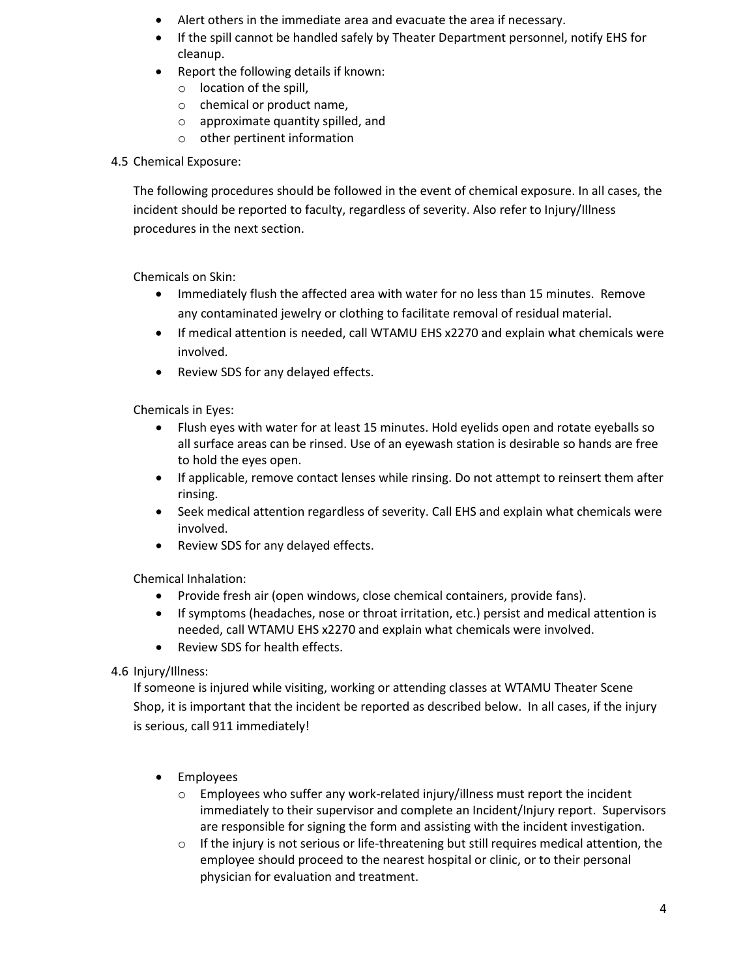- Alert others in the immediate area and evacuate the area if necessary.
- If the spill cannot be handled safely by Theater Department personnel, notify EHS for cleanup.
- Report the following details if known:
	- o location of the spill,
	- o chemical or product name,
	- o approximate quantity spilled, and
	- o other pertinent information

#### <span id="page-3-0"></span>4.5 Chemical Exposure:

The following procedures should be followed in the event of chemical exposure. In all cases, the incident should be reported to faculty, regardless of severity. Also refer to Injury/Illness procedures in the next section.

Chemicals on Skin:

- Immediately flush the affected area with water for no less than 15 minutes. Remove any contaminated jewelry or clothing to facilitate removal of residual material.
- If medical attention is needed, call WTAMU EHS x2270 and explain what chemicals were involved.
- Review SDS for any delayed effects.

Chemicals in Eyes:

- Flush eyes with water for at least 15 minutes. Hold eyelids open and rotate eyeballs so all surface areas can be rinsed. Use of an eyewash station is desirable so hands are free to hold the eyes open.
- If applicable, remove contact lenses while rinsing. Do not attempt to reinsert them after rinsing.
- Seek medical attention regardless of severity. Call EHS and explain what chemicals were involved.
- Review SDS for any delayed effects.

Chemical Inhalation:

- Provide fresh air (open windows, close chemical containers, provide fans).
- If symptoms (headaches, nose or throat irritation, etc.) persist and medical attention is needed, call WTAMU EHS x2270 and explain what chemicals were involved.
- Review SDS for health effects.

<span id="page-3-1"></span>4.6 Injury/Illness:

If someone is injured while visiting, working or attending classes at WTAMU Theater Scene Shop, it is important that the incident be reported as described below. In all cases, if the injury is serious, call 911 immediately!

- Employees
	- o Employees who suffer any work-related injury/illness must report the incident immediately to their supervisor and complete an Incident/Injury report. Supervisors are responsible for signing the form and assisting with the incident investigation.
	- $\circ$  If the injury is not serious or life-threatening but still requires medical attention, the employee should proceed to the nearest hospital or clinic, or to their personal physician for evaluation and treatment.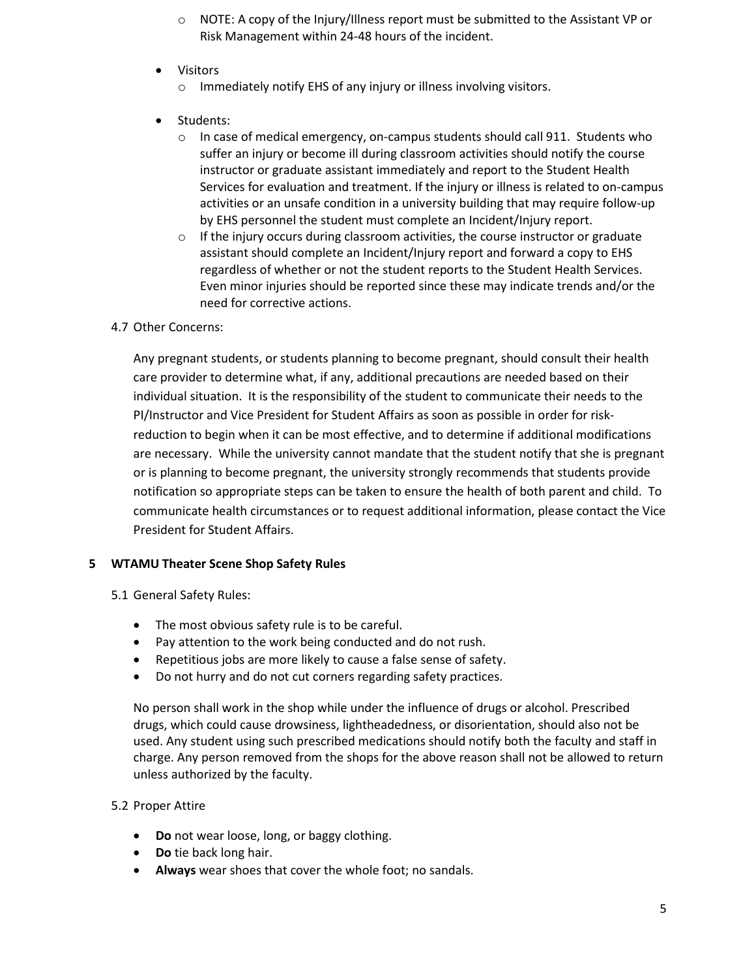- $\circ$  NOTE: A copy of the Injury/Illness report must be submitted to the Assistant VP or Risk Management within 24-48 hours of the incident.
- **Visitors** 
	- o Immediately notify EHS of any injury or illness involving visitors.
- Students:
	- $\circ$  In case of medical emergency, on-campus students should call 911. Students who suffer an injury or become ill during classroom activities should notify the course instructor or graduate assistant immediately and report to the Student Health Services for evaluation and treatment. If the injury or illness is related to on-campus activities or an unsafe condition in a university building that may require follow-up by EHS personnel the student must complete an Incident/Injury report.
	- $\circ$  If the injury occurs during classroom activities, the course instructor or graduate assistant should complete an Incident/Injury report and forward a copy to EHS regardless of whether or not the student reports to the Student Health Services. Even minor injuries should be reported since these may indicate trends and/or the need for corrective actions.

#### <span id="page-4-0"></span>4.7 Other Concerns:

Any pregnant students, or students planning to become pregnant, should consult their health care provider to determine what, if any, additional precautions are needed based on their individual situation. It is the responsibility of the student to communicate their needs to the PI/Instructor and Vice President for Student Affairs as soon as possible in order for riskreduction to begin when it can be most effective, and to determine if additional modifications are necessary. While the university cannot mandate that the student notify that she is pregnant or is planning to become pregnant, the university strongly recommends that students provide notification so appropriate steps can be taken to ensure the health of both parent and child. To communicate health circumstances or to request additional information, please contact the Vice President for Student Affairs.

#### <span id="page-4-1"></span>**5 WTAMU Theater Scene Shop Safety Rules**

- <span id="page-4-2"></span>5.1 General Safety Rules:
	- The most obvious safety rule is to be careful.
	- Pay attention to the work being conducted and do not rush.
	- Repetitious jobs are more likely to cause a false sense of safety.
	- Do not hurry and do not cut corners regarding safety practices.

No person shall work in the shop while under the influence of drugs or alcohol. Prescribed drugs, which could cause drowsiness, lightheadedness, or disorientation, should also not be used. Any student using such prescribed medications should notify both the faculty and staff in charge. Any person removed from the shops for the above reason shall not be allowed to return unless authorized by the faculty.

#### <span id="page-4-3"></span>5.2 Proper Attire

- **Do** not wear loose, long, or baggy clothing.
- **Do** tie back long hair.
- **Always** wear shoes that cover the whole foot; no sandals.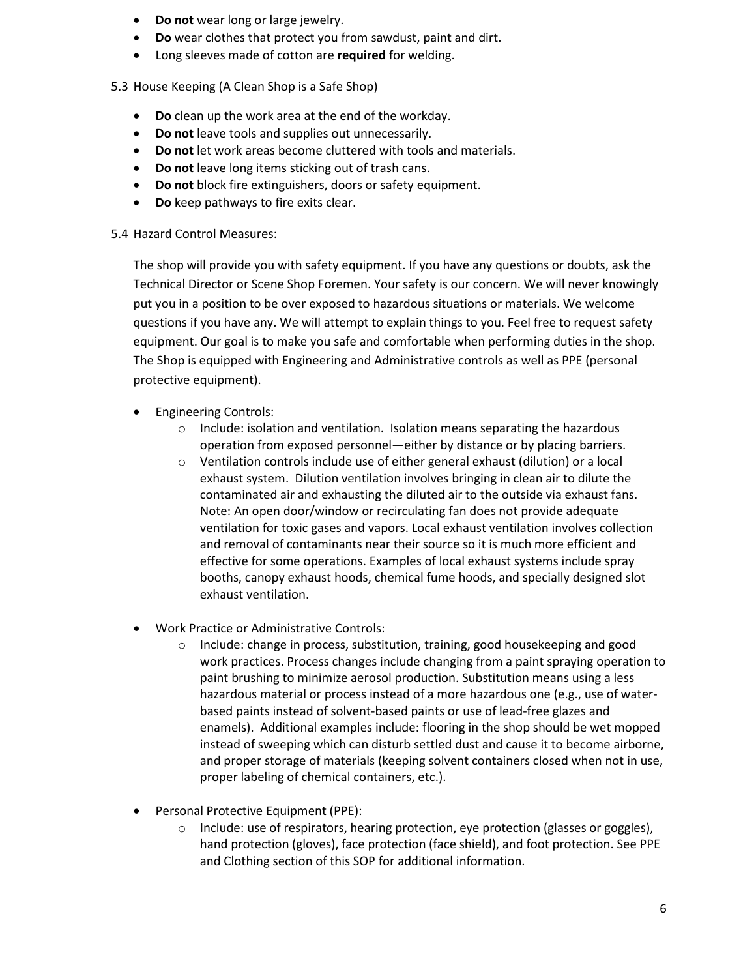- **Do not** wear long or large jewelry.
- **Do** wear clothes that protect you from sawdust, paint and dirt.
- Long sleeves made of cotton are **required** for welding.
- <span id="page-5-0"></span>5.3 House Keeping (A Clean Shop is a Safe Shop)
	- **Do** clean up the work area at the end of the workday.
	- **Do not** leave tools and supplies out unnecessarily.
	- **Do not** let work areas become cluttered with tools and materials.
	- **Do not** leave long items sticking out of trash cans.
	- **Do not** block fire extinguishers, doors or safety equipment.
	- **Do** keep pathways to fire exits clear.

#### <span id="page-5-1"></span>5.4 Hazard Control Measures:

The shop will provide you with safety equipment. If you have any questions or doubts, ask the Technical Director or Scene Shop Foremen. Your safety is our concern. We will never knowingly put you in a position to be over exposed to hazardous situations or materials. We welcome questions if you have any. We will attempt to explain things to you. Feel free to request safety equipment. Our goal is to make you safe and comfortable when performing duties in the shop. The Shop is equipped with Engineering and Administrative controls as well as PPE (personal protective equipment).

- Engineering Controls:
	- o Include: isolation and ventilation. Isolation means separating the hazardous operation from exposed personnel—either by distance or by placing barriers.
	- o Ventilation controls include use of either general exhaust (dilution) or a local exhaust system. Dilution ventilation involves bringing in clean air to dilute the contaminated air and exhausting the diluted air to the outside via exhaust fans. Note: An open door/window or recirculating fan does not provide adequate ventilation for toxic gases and vapors. Local exhaust ventilation involves collection and removal of contaminants near their source so it is much more efficient and effective for some operations. Examples of local exhaust systems include spray booths, canopy exhaust hoods, chemical fume hoods, and specially designed slot exhaust ventilation.
- Work Practice or Administrative Controls:
	- o Include: change in process, substitution, training, good housekeeping and good work practices. Process changes include changing from a paint spraying operation to paint brushing to minimize aerosol production. Substitution means using a less hazardous material or process instead of a more hazardous one (e.g., use of waterbased paints instead of solvent-based paints or use of lead-free glazes and enamels). Additional examples include: flooring in the shop should be wet mopped instead of sweeping which can disturb settled dust and cause it to become airborne, and proper storage of materials (keeping solvent containers closed when not in use, proper labeling of chemical containers, etc.).
- Personal Protective Equipment (PPE):
	- o Include: use of respirators, hearing protection, eye protection (glasses or goggles), hand protection (gloves), face protection (face shield), and foot protection. See PPE and Clothing section of this SOP for additional information.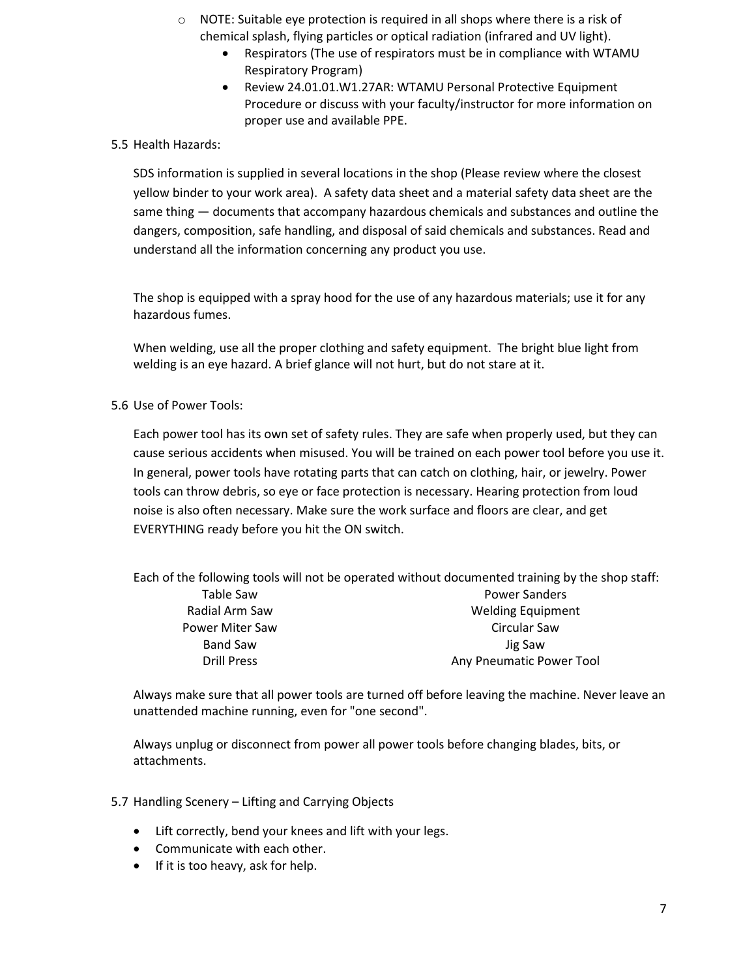- o NOTE: Suitable eye protection is required in all shops where there is a risk of chemical splash, flying particles or optical radiation (infrared and UV light).
	- Respirators (The use of respirators must be in compliance with WTAMU Respiratory Program)
	- Review [24.01.01.W1.27AR: WTAMU Personal Protective Equipment](http://www.wtamu.edu/webres/File/Academics/Graduate%20School/AR-EHS/SOPs/New%20SOP%20with%20contents/24.01.01.W1.27AR%20Personal%20Protective%20Equipment.pdf)  [Procedure](http://www.wtamu.edu/webres/File/Academics/Graduate%20School/AR-EHS/SOPs/New%20SOP%20with%20contents/24.01.01.W1.27AR%20Personal%20Protective%20Equipment.pdf) or discuss with your faculty/instructor for more information on proper use and available PPE.

# <span id="page-6-0"></span>5.5 Health Hazards:

SDS information is supplied in several locations in the shop (Please review where the closest yellow binder to your work area). A safety data sheet and a material safety data sheet are the same thing — documents that accompany hazardous chemicals and substances and outline the dangers, composition, safe handling, and disposal of said chemicals and substances. Read and understand all the information concerning any product you use.

The shop is equipped with a spray hood for the use of any hazardous materials; use it for any hazardous fumes.

When welding, use all the proper clothing and safety equipment. The bright blue light from welding is an eye hazard. A brief glance will not hurt, but do not stare at it.

<span id="page-6-1"></span>5.6 Use of Power Tools:

Each power tool has its own set of safety rules. They are safe when properly used, but they can cause serious accidents when misused. You will be trained on each power tool before you use it. In general, power tools have rotating parts that can catch on clothing, hair, or jewelry. Power tools can throw debris, so eye or face protection is necessary. Hearing protection from loud noise is also often necessary. Make sure the work surface and floors are clear, and get EVERYTHING ready before you hit the ON switch.

Each of the following tools will not be operated without documented training by the shop staff: Table Saw Radial Arm Saw Power Miter Saw Band Saw Drill Press Power Sanders Welding Equipment Circular Saw Jig Saw Any Pneumatic Power Tool

Always make sure that all power tools are turned off before leaving the machine. Never leave an unattended machine running, even for "one second".

Always unplug or disconnect from power all power tools before changing blades, bits, or attachments.

- <span id="page-6-2"></span>5.7 Handling Scenery – Lifting and Carrying Objects
	- Lift correctly, bend your knees and lift with your legs.
	- Communicate with each other.
	- If it is too heavy, ask for help.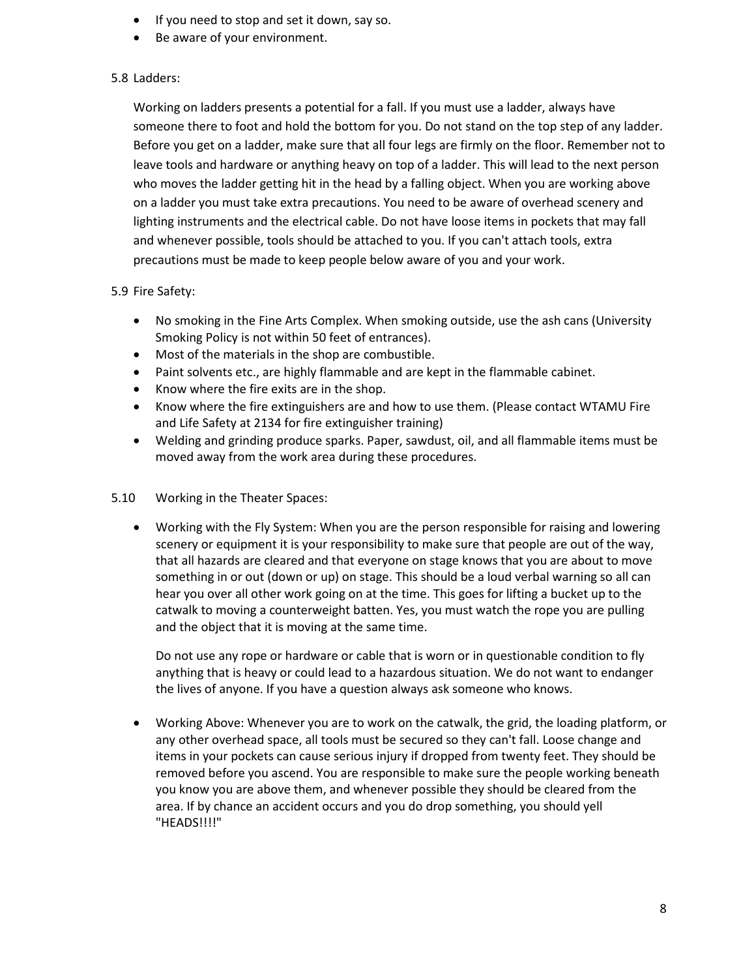- If you need to stop and set it down, say so.
- Be aware of your environment.

# <span id="page-7-0"></span>5.8 Ladders:

Working on ladders presents a potential for a fall. If you must use a ladder, always have someone there to foot and hold the bottom for you. Do not stand on the top step of any ladder. Before you get on a ladder, make sure that all four legs are firmly on the floor. Remember not to leave tools and hardware or anything heavy on top of a ladder. This will lead to the next person who moves the ladder getting hit in the head by a falling object. When you are working above on a ladder you must take extra precautions. You need to be aware of overhead scenery and lighting instruments and the electrical cable. Do not have loose items in pockets that may fall and whenever possible, tools should be attached to you. If you can't attach tools, extra precautions must be made to keep people below aware of you and your work.

#### <span id="page-7-1"></span>5.9 Fire Safety:

- No smoking in the Fine Arts Complex. When smoking outside, use the ash cans (University Smoking Policy is not within 50 feet of entrances).
- Most of the materials in the shop are combustible.
- Paint solvents etc., are highly flammable and are kept in the flammable cabinet.
- Know where the fire exits are in the shop.
- Know where the fire extinguishers are and how to use them. (Please contact WTAMU Fire and Life Safety at 2134 for fire extinguisher training)
- Welding and grinding produce sparks. Paper, sawdust, oil, and all flammable items must be moved away from the work area during these procedures.
- <span id="page-7-2"></span>5.10 Working in the Theater Spaces:
	- Working with the Fly System: When you are the person responsible for raising and lowering scenery or equipment it is your responsibility to make sure that people are out of the way, that all hazards are cleared and that everyone on stage knows that you are about to move something in or out (down or up) on stage. This should be a loud verbal warning so all can hear you over all other work going on at the time. This goes for lifting a bucket up to the catwalk to moving a counterweight batten. Yes, you must watch the rope you are pulling and the object that it is moving at the same time.

Do not use any rope or hardware or cable that is worn or in questionable condition to fly anything that is heavy or could lead to a hazardous situation. We do not want to endanger the lives of anyone. If you have a question always ask someone who knows.

• Working Above: Whenever you are to work on the catwalk, the grid, the loading platform, or any other overhead space, all tools must be secured so they can't fall. Loose change and items in your pockets can cause serious injury if dropped from twenty feet. They should be removed before you ascend. You are responsible to make sure the people working beneath you know you are above them, and whenever possible they should be cleared from the area. If by chance an accident occurs and you do drop something, you should yell "HEADS!!!!"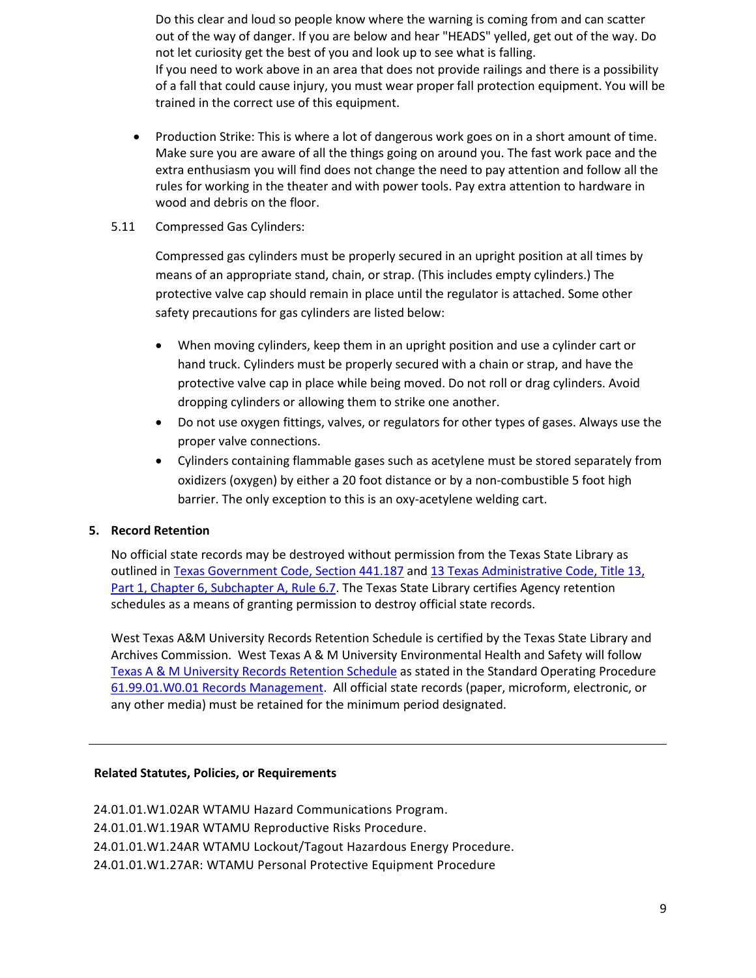Do this clear and loud so people know where the warning is coming from and can scatter out of the way of danger. If you are below and hear "HEADS" yelled, get out of the way. Do not let curiosity get the best of you and look up to see what is falling. If you need to work above in an area that does not provide railings and there is a possibility of a fall that could cause injury, you must wear proper fall protection equipment. You will be trained in the correct use of this equipment.

- Production Strike: This is where a lot of dangerous work goes on in a short amount of time. Make sure you are aware of all the things going on around you. The fast work pace and the extra enthusiasm you will find does not change the need to pay attention and follow all the rules for working in the theater and with power tools. Pay extra attention to hardware in wood and debris on the floor.
- <span id="page-8-0"></span>5.11 Compressed Gas Cylinders:

Compressed gas cylinders must be properly secured in an upright position at all times by means of an appropriate stand, chain, or strap. (This includes empty cylinders.) The protective valve cap should remain in place until the regulator is attached. Some other safety precautions for gas cylinders are listed below:

- When moving cylinders, keep them in an upright position and use a cylinder cart or hand truck. Cylinders must be properly secured with a chain or strap, and have the protective valve cap in place while being moved. Do not roll or drag cylinders. Avoid dropping cylinders or allowing them to strike one another.
- Do not use oxygen fittings, valves, or regulators for other types of gases. Always use the proper valve connections.
- Cylinders containing flammable gases such as acetylene must be stored separately from oxidizers (oxygen) by either a 20 foot distance or by a non-combustible 5 foot high barrier. The only exception to this is an oxy-acetylene welding cart.

# <span id="page-8-1"></span>**5. Record Retention**

No official state records may be destroyed without permission from the Texas State Library as outlined i[n Texas Government Code, Section 441.187](http://www.statutes.legis.state.tx.us/?link=GV) and [13 Texas Administrative Code, Title 13,](http://info.sos.state.tx.us/pls/pub/readtac$ext.TacPage?sl=R&app=9&p_dir=&p_rloc=&p_tloc=&p_ploc=&pg=1&p_tac=&ti=13&pt=1&ch=6&rl=7U)  [Part 1, Chapter 6, Subchapter A, Rule 6.7.](http://info.sos.state.tx.us/pls/pub/readtac$ext.TacPage?sl=R&app=9&p_dir=&p_rloc=&p_tloc=&p_ploc=&pg=1&p_tac=&ti=13&pt=1&ch=6&rl=7U) The Texas State Library certifies Agency retention schedules as a means of granting permission to destroy official state records.

West Texas A&M University Records Retention Schedule is certified by the Texas State Library and Archives Commission. West Texas A & M University Environmental Health and Safety will follow [Texas A & M University Records Retention Schedule](http://www.wtamu.edu/webres/File/Risk%20Management/System-Records-Retention-Schedule-Dec2012.pdf) as stated in the Standard Operating Procedure [61.99.01.W0.01 Records Management.](http://www.wtamu.edu/webres/File/Risk%20Management/61.99.01.W0.01_PROCEDURE_Records%20Management_FINAL%20SIGNED.pdf) All official state records (paper, microform, electronic, or any other media) must be retained for the minimum period designated.

# **Related Statutes, Policies, or Requirements**

[24.01.01.W1.02AR WTAMU Hazard Communications Program.](http://www.wtamu.edu/environmental_safety/faculty-sop.aspx#0002) [24.01.01.W1.19AR WTAMU Reproductive Risks Procedure.](http://www.wtamu.edu/environmental_safety/faculty-sop.aspx#0019) [24.01.01.W1.24AR WTAMU Lockout/Tagout Hazardous Energy Procedure.](http://www.wtamu.edu/environmental_safety/faculty-sop.aspx#0024) [24.01.01.W1.27AR: WTAMU Personal Protective Equipment Procedure](http://www.wtamu.edu/webres/File/Academics/Graduate%20School/AR-EHS/SOPs/New%20SOP%20with%20contents/24.01.01.W1.27AR%20Personal%20Protective%20Equipment.pdf)